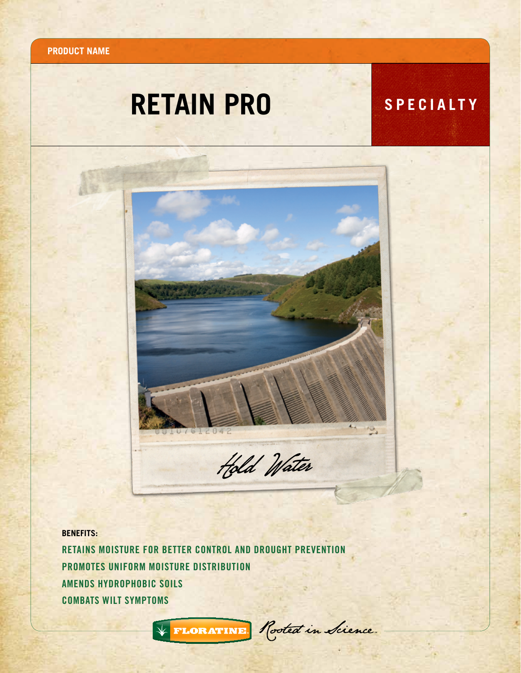**Product name**

## **RETAIN PRO** SPECIALTY



**BENEFITS:**

Retains moisture for better control and drought prevention Promotes uniform moisture distribution amends hydrophobic soils combats wilt symptoms



\* FLORATINE Rooted in Science.